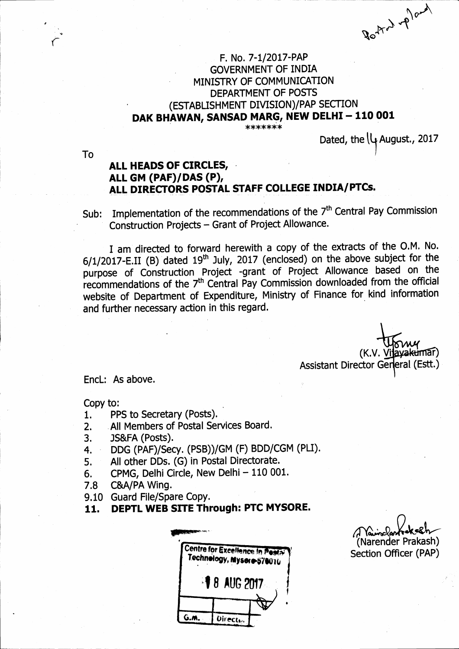$\frac{1}{2}$  $\mathcal{B}^{\mathcal{O}_{\mathcal{V}_{\mathcal{A}_{\mathcal{C}}}}$ 

## F. No. 7-1/2017-PAP GOVERNMENT OF INDIA MINISTRY OF COMMUNICATION<br>DEPARTMENT OF POSTS (ESTABLISHMENT DIVISION)/PAP SECTION DAK BHAWAN, SANSAD MARG, NEW DELHI - 110 001

\*\*\*\*\*\*\*

Dated, the  $\downarrow$  August., 2017

To

4 t t

## ALL HEADS OF CTRCLES, ALL GM (PAF)/DAS (P), ALL DIRECTORS POSTAL STAFF COLLEGE INDIA/PTCs.

Sub: Implementation of the recommendations of the 7<sup>th</sup> Central Pay Commission Construction Projects - Grant of Project Allowance.

I am directed to forward herewith a copy of the extracts of the O.M. No.  $6/1/2017$ -E.II (B) dated 19<sup>th</sup> July, 2017 (enclosed) on the above subject for the purpose of Construction Project -grant of Project Allowance based on the recommendations of the 7th Central Pay Commission downloaded from the official website of Department of Expenditure, Ministry of Finance for kind information and further necessary action in this regard.

> (K.V. <u>V</u> Assistant Director General (Estt.) avakumar)

EncL: As above.

Copy to:

- 1. PPS to Secretary (Posts).<br>2. All Members of Postal Ser
- 2. All Members of Postal Services Board.<br>3. JS&FA (Posts).
- 3. JS&FA (Posts).<br>4. DDG (PAF)/Seq
- 4, DDG (PAF)/Secy. (PSB))/GM (F) BDD/CGM (PLI).
- 5. All other DDs. (G) in Postal Directorate.
- 6. CPMG, Delhi Circle, New Delhi 110 001.<br>7.8 C&A/PA Wing.
- C&A/PA Wing.
- 9.10 Guard File/Spare Copy.
- 11. DEPTL WEB SITE Through: PTC MYSORE.

Centre for Excellence In Posta Technology, Mysoro-570016  $\sqrt[3]{8}$  aug 2017 G.M. **Directul** 

(Narender Prakash) Section Officer (PAP)